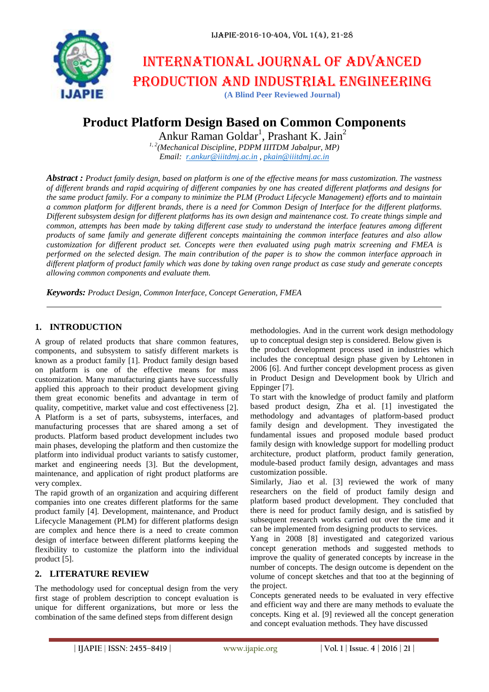

# International journal of advanced production and industrial engineering

**(A Blind Peer Reviewed Journal)**

# **Product Platform Design Based on Common Components**

Ankur Raman Goldar<sup>1</sup>, Prashant K. Jain<sup>2</sup>

*1, 2(Mechanical Discipline, PDPM IIITDM Jabalpur, MP) Email: [r.ankur@iiitdmj.ac.in](mailto:r.ankur@iiitdmj.ac.in) , [pkain@iiitdmj.ac.in](mailto:pkain@iiitdmj.ac.in)*

*Abstract : Product family design, based on platform is one of the effective means for mass customization. The vastness of different brands and rapid acquiring of different companies by one has created different platforms and designs for the same product family. For a company to minimize the PLM (Product Lifecycle Management) efforts and to maintain a common platform for different brands, there is a need for Common Design of Interface for the different platforms. Different subsystem design for different platforms has its own design and maintenance cost. To create things simple and common, attempts has been made by taking different case study to understand the interface features among different products of same family and generate different concepts maintaining the common interface features and also allow customization for different product set. Concepts were then evaluated using pugh matrix screening and FMEA is performed on the selected design. The main contribution of the paper is to show the common interface approach in different platform of product family which was done by taking oven range product as case study and generate concepts allowing common components and evaluate them.*

*Keywords: Product Design, Common Interface, Concept Generation, FMEA*

# **1. INTRODUCTION**

A group of related products that share common features, components, and subsystem to satisfy different markets is known as a product family [1]. Product family design based on platform is one of the effective means for mass customization. Many manufacturing giants have successfully applied this approach to their product development giving them great economic benefits and advantage in term of quality, competitive, market value and cost effectiveness [2]. A Platform is a set of parts, subsystems, interfaces, and manufacturing processes that are shared among a set of products. Platform based product development includes two main phases, developing the platform and then customize the platform into individual product variants to satisfy customer, market and engineering needs [3]. But the development, maintenance, and application of right product platforms are very complex.

The rapid growth of an organization and acquiring different companies into one creates different platforms for the same product family [4]. Development, maintenance, and Product Lifecycle Management (PLM) for different platforms design are complex and hence there is a need to create common design of interface between different platforms keeping the flexibility to customize the platform into the individual product [5].

# **2. LITERATURE REVIEW**

The methodology used for conceptual design from the very first stage of problem description to concept evaluation is unique for different organizations, but more or less the combination of the same defined steps from different design

methodologies. And in the current work design methodology up to conceptual design step is considered. Below given is

the product development process used in industries which includes the conceptual design phase given by Lehtonen in 2006 [6]. And further concept development process as given in Product Design and Development book by Ulrich and Eppinger [7].

To start with the knowledge of product family and platform based product design, Zha et al. [1] investigated the methodology and advantages of platform-based product family design and development. They investigated the fundamental issues and proposed module based product family design with knowledge support for modelling product architecture, product platform, product family generation, module-based product family design, advantages and mass customization possible.

Similarly, Jiao et al. [3] reviewed the work of many researchers on the field of product family design and platform based product development. They concluded that there is need for product family design, and is satisfied by subsequent research works carried out over the time and it can be implemented from designing products to services.

Yang in 2008 [8] investigated and categorized various concept generation methods and suggested methods to improve the quality of generated concepts by increase in the number of concepts. The design outcome is dependent on the volume of concept sketches and that too at the beginning of the project.

Concepts generated needs to be evaluated in very effective and efficient way and there are many methods to evaluate the concepts. King et al. [9] reviewed all the concept generation and concept evaluation methods. They have discussed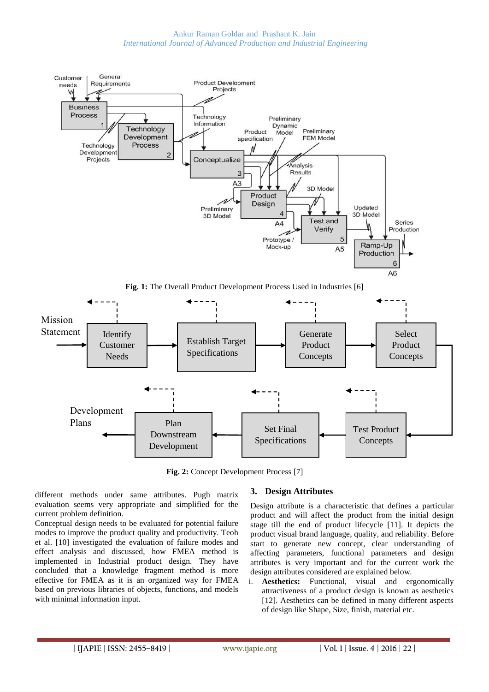

**Fig. 2:** Concept Development Process [7]

different methods under same attributes. Pugh matrix evaluation seems very appropriate and simplified for the current problem definition.

Conceptual design needs to be evaluated for potential failure modes to improve the product quality and productivity. Teoh et al. [10] investigated the evaluation of failure modes and effect analysis and discussed, how FMEA method is implemented in Industrial product design. They have concluded that a knowledge fragment method is more effective for FMEA as it is an organized way for FMEA based on previous libraries of objects, functions, and models with minimal information input.

# **3. Design Attributes**

Design attribute is a characteristic that defines a particular product and will affect the product from the initial design stage till the end of product lifecycle [11]. It depicts the product visual brand language, quality, and reliability. Before start to generate new concept, clear understanding of affecting parameters, functional parameters and design attributes is very important and for the current work the design attributes considered are explained below.

i. **Aesthetics:** Functional, visual and ergonomically attractiveness of a product design is known as aesthetics [12]. Aesthetics can be defined in many different aspects of design like Shape, Size, finish, material etc.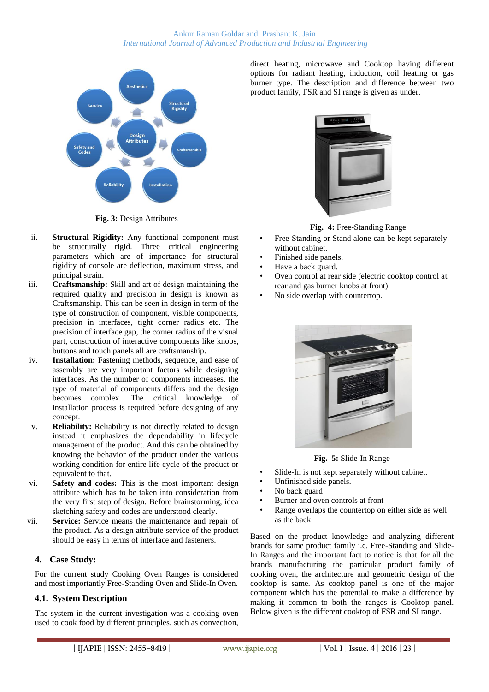

**Fig. 3:** Design Attributes

- ii. **Structural Rigidity:** Any functional component must be structurally rigid. Three critical engineering parameters which are of importance for structural rigidity of console are deflection, maximum stress, and principal strain.
- iii. **Craftsmanship:** Skill and art of design maintaining the required quality and precision in design is known as Craftsmanship. This can be seen in design in term of the type of construction of component, visible components, precision in interfaces, tight corner radius etc. The precision of interface gap, the corner radius of the visual part, construction of interactive components like knobs, buttons and touch panels all are craftsmanship.
- iv. **Installation:** Fastening methods, sequence, and ease of assembly are very important factors while designing interfaces. As the number of components increases, the type of material of components differs and the design becomes complex. The critical knowledge of installation process is required before designing of any concept.
- v. **Reliability:** Reliability is not directly related to design instead it emphasizes the dependability in lifecycle management of the product. And this can be obtained by knowing the behavior of the product under the various working condition for entire life cycle of the product or equivalent to that.
- vi. **Safety and codes:** This is the most important design attribute which has to be taken into consideration from the very first step of design. Before brainstorming, idea sketching safety and codes are understood clearly.
- vii. **Service:** Service means the maintenance and repair of the product. As a design attribute service of the product should be easy in terms of interface and fasteners.

# **4. Case Study:**

For the current study Cooking Oven Ranges is considered and most importantly Free-Standing Oven and Slide-In Oven.

# **4.1. System Description**

The system in the current investigation was a cooking oven used to cook food by different principles, such as convection, direct heating, microwave and Cooktop having different options for radiant heating, induction, coil heating or gas burner type. The description and difference between two product family, FSR and SI range is given as under.



**Fig. 4:** Free-Standing Range

- Free-Standing or Stand alone can be kept separately without cabinet.
- Finished side panels.
- Have a back guard.
- Oven control at rear side (electric cooktop control at rear and gas burner knobs at front)
- No side overlap with countertop.



**Fig. 5:** Slide-In Range

- Slide-In is not kept separately without cabinet.
- Unfinished side panels.
- No back guard
- Burner and oven controls at front
- Range overlaps the countertop on either side as well as the back

Based on the product knowledge and analyzing different brands for same product family i.e. Free-Standing and Slide-In Ranges and the important fact to notice is that for all the brands manufacturing the particular product family of cooking oven, the architecture and geometric design of the cooktop is same. As cooktop panel is one of the major component which has the potential to make a difference by making it common to both the ranges is Cooktop panel. Below given is the different cooktop of FSR and SI range.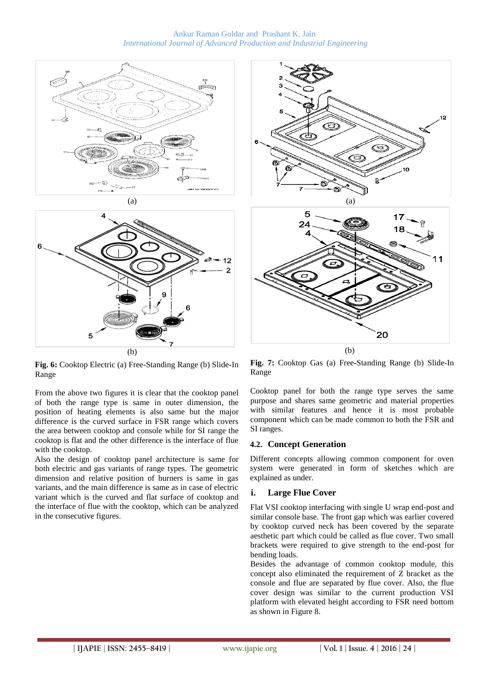



**Fig. 6:** Cooktop Electric (a) Free-Standing Range (b) Slide-In Range

From the above two figures it is clear that the cooktop panel of both the range type is same in outer dimension, the position of heating elements is also same but the major difference is the curved surface in FSR range which covers the area between cooktop and console while for SI range the cooktop is flat and the other difference is the interface of flue with the cooktop.

Also the design of cooktop panel architecture is same for both electric and gas variants of range types. The geometric dimension and relative position of burners is same in gas variants, and the main difference is same as in case of electric variant which is the curved and flat surface of cooktop and the interface of flue with the cooktop, which can be analyzed in the consecutive figures.



**Fig. 7:** Cooktop Gas (a) Free-Standing Range (b) Slide-In Range

Cooktop panel for both the range type serves the same purpose and shares same geometric and material properties with similar features and hence it is most probable component which can be made common to both the FSR and SI ranges.

#### **4.2. Concept Generation**

Different concepts allowing common component for oven system were generated in form of sketches which are explained as under.

#### **i. Large Flue Cover**

Flat VSI cooktop interfacing with single U wrap end-post and similar console base. The front gap which was earlier covered by cooktop curved neck has been covered by the separate aesthetic part which could be called as flue cover. Two small brackets were required to give strength to the end-post for bending loads.

Besides the advantage of common cooktop module, this concept also eliminated the requirement of Z bracket as the console and flue are separated by flue cover. Also, the flue cover design was similar to the current production VSI platform with elevated height according to FSR need bottom as shown in Figure 8.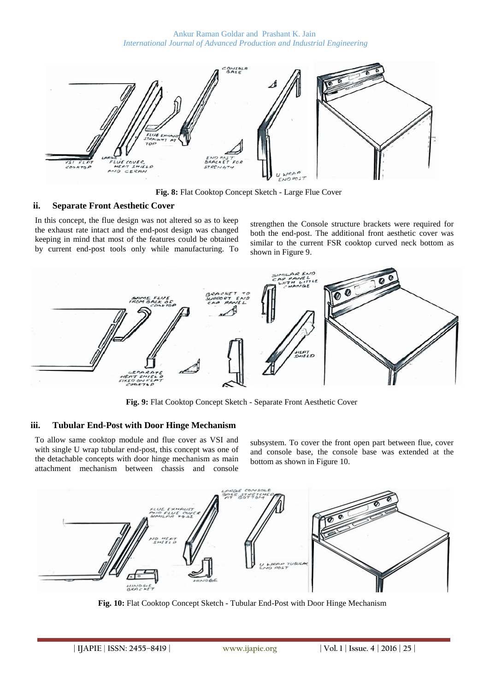

**Fig. 8:** Flat Cooktop Concept Sketch - Large Flue Cover

#### **ii. Separate Front Aesthetic Cover**

In this concept, the flue design was not altered so as to keep the exhaust rate intact and the end-post design was changed keeping in mind that most of the features could be obtained by current end-post tools only while manufacturing. To

strengthen the Console structure brackets were required for both the end-post. The additional front aesthetic cover was similar to the current FSR cooktop curved neck bottom as shown in Figure 9.



**Fig. 9:** Flat Cooktop Concept Sketch - Separate Front Aesthetic Cover

#### **iii. Tubular End-Post with Door Hinge Mechanism**

To allow same cooktop module and flue cover as VSI and with single U wrap tubular end-post, this concept was one of the detachable concepts with door hinge mechanism as main attachment mechanism between chassis and console

subsystem. To cover the front open part between flue, cover and console base, the console base was extended at the bottom as shown in Figure 10.



**Fig. 10:** Flat Cooktop Concept Sketch - Tubular End-Post with Door Hinge Mechanism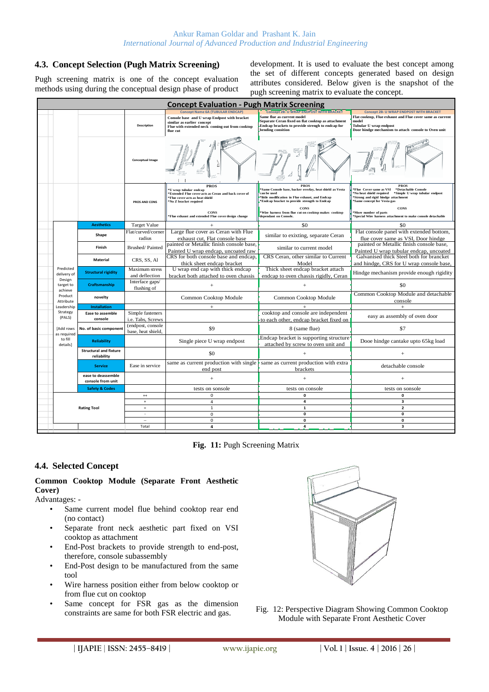#### **4.3. Concept Selection (Pugh Matrix Screening)**

Pugh screening matrix is one of the concept evaluation methods using during the conceptual design phase of product development. It is used to evaluate the best concept among the set of different concepts generated based on design attributes considered. Below given is the snapshot of the pugh screening matrix to evaluate the concept.

| <b>Concept Evaluation - Pugh Matrix Screening</b> |                                                            |                                              |                                         |                                                                                                                                                                                                         |                                                                                                                                                                                                                                                                                     |                                                                                                                                                                                                                                                   |  |  |  |
|---------------------------------------------------|------------------------------------------------------------|----------------------------------------------|-----------------------------------------|---------------------------------------------------------------------------------------------------------------------------------------------------------------------------------------------------------|-------------------------------------------------------------------------------------------------------------------------------------------------------------------------------------------------------------------------------------------------------------------------------------|---------------------------------------------------------------------------------------------------------------------------------------------------------------------------------------------------------------------------------------------------|--|--|--|
|                                                   |                                                            |                                              | <b>Description</b>                      | <b>Concept Name 6A (TUBULAR ENDCAP)</b><br>Console base and U wrap Endpost with bracket<br>similar as earlier concept<br>Flue with extended neck coming out from cooktop<br>flue cut                    | Concept 2B- U WRAP ENDPOST WITH BRACKET<br>Same flue as current model<br>Separate Ceran fixed on flat cooktop as attachment<br>Endcap brackets to provide strengh to endcap for<br>bending consition                                                                                | <b>Concept 2B- U WRAP ENDPOST WITH BRACKET</b><br>Flat cooktop, Flue exhaust and Flue cover same as current<br>model<br>Tubular U wrap endpost<br>Door hindge mechanism to attach console to Oven unit                                            |  |  |  |
|                                                   |                                                            |                                              | <b>Conceptual Image</b>                 |                                                                                                                                                                                                         |                                                                                                                                                                                                                                                                                     |                                                                                                                                                                                                                                                   |  |  |  |
|                                                   |                                                            |                                              | PROS AND CONS                           | <b>PROS</b><br>'U wrap tubular endcap<br><b>Extended Flue cover acts as Ceran and back cover of</b><br><sup>®</sup> Flue cover acts as heat shield<br><sup>®</sup> No Z bracket required<br><b>CONS</b> | PROS<br>'Same Console base, backer overlay, heat shield as Vesta<br>can be used<br><sup>®</sup> little modification in Flue exhaust, and Endcap<br>*Endcap bracket to provide strength to Endcap<br><b>CONS</b><br><sup>®</sup> Wire harness from flue cut on cooktop makes cooktop | PROS<br><sup>*</sup> Flue Cover same as VSI<br>*Detachable Console<br>No heat shield required<br>*Simple U wrap tubular endpost<br>*Strong and rigid hindge attachment<br><sup>*</sup> Same concept for Vesta gas<br>CONS<br>More number of parts |  |  |  |
|                                                   |                                                            |                                              |                                         | <sup>®</sup> Flue exhaust and extended Flue cover design change                                                                                                                                         | dependant on Console.                                                                                                                                                                                                                                                               | <sup>*</sup> Special Wire harness attachment to make console detachable                                                                                                                                                                           |  |  |  |
|                                                   |                                                            | <b>Aesthetics</b>                            | <b>Target Value</b>                     | $+$                                                                                                                                                                                                     | \$0                                                                                                                                                                                                                                                                                 | \$0                                                                                                                                                                                                                                               |  |  |  |
|                                                   |                                                            | Shape                                        | Flat/curved/corner<br>radius            | Large flue cover as Ceran with Flue<br>exhaust cut, Flat console base                                                                                                                                   | similar to exixting, separate Ceran                                                                                                                                                                                                                                                 | Flat console panel with extended bottom,<br>flue cover same as VSI, Door hindge                                                                                                                                                                   |  |  |  |
|                                                   | Predicted<br>delivery of<br>Design<br>target to<br>achieve | Finish                                       | Brushed/Painted                         | painted or Metallic finish console base,<br>Painted U wrap endcap, uncoated raw                                                                                                                         | similar to current model                                                                                                                                                                                                                                                            | painted or Metallic finish console base,<br>Painted U wrap tubular endcap, uncoated                                                                                                                                                               |  |  |  |
|                                                   |                                                            | Material                                     | CRS, SS, Al                             | CRS for both console base and endcap,<br>thick sheet endcap bracket                                                                                                                                     | CRS Ceran, other similar to Current<br>Model                                                                                                                                                                                                                                        | Galvanised thick Steel both for brancket<br>and hindge. CRS for U wrap console base.                                                                                                                                                              |  |  |  |
|                                                   |                                                            | <b>Structural rigidity</b>                   | <b>Maximum</b> stress<br>and deflection | U wrap end cap with thick endcap<br>bracket both attached to oven chassis                                                                                                                               | Thick sheet endcap bracket attach<br>endcap to oven chassis rigidly. Ceran                                                                                                                                                                                                          | Hindge mechanism provide enough rigidity                                                                                                                                                                                                          |  |  |  |
|                                                   |                                                            | Craftsmanship                                | Interface gaps/<br>flushing of          | $+$                                                                                                                                                                                                     | $\ddot{}$                                                                                                                                                                                                                                                                           | \$0                                                                                                                                                                                                                                               |  |  |  |
|                                                   | Product<br>Attribute                                       | novelty                                      |                                         | Common Cooktop Module                                                                                                                                                                                   | Common Cooktop Module                                                                                                                                                                                                                                                               | Common Cooktop Module and detachable<br>console                                                                                                                                                                                                   |  |  |  |
|                                                   | Leadership                                                 | <b>Installation</b>                          |                                         | $\ddot{}$                                                                                                                                                                                               |                                                                                                                                                                                                                                                                                     | $+$                                                                                                                                                                                                                                               |  |  |  |
|                                                   | Strategy<br>(PALS)                                         | Ease to assemble<br>console                  | Simple fasteners<br>i.e. Tabs, Screws   |                                                                                                                                                                                                         | cooktop and console are independent<br>to each other, endcap bracket fixed on                                                                                                                                                                                                       | easy as assembly of oven door                                                                                                                                                                                                                     |  |  |  |
|                                                   | [Add rows                                                  | No. of basic component                       | (endpost, console<br>base, heat shield, | \$9                                                                                                                                                                                                     | 8 (same flue)                                                                                                                                                                                                                                                                       | \$7                                                                                                                                                                                                                                               |  |  |  |
|                                                   | as required<br>to fill<br>details]                         | <b>Reliability</b>                           |                                         | Single piece U wrap endpost                                                                                                                                                                             | Endcap bracket is supporting structure<br>attached by screw to oven unit and                                                                                                                                                                                                        | Dooe hindge cantake upto 65kg load                                                                                                                                                                                                                |  |  |  |
|                                                   |                                                            | <b>Structural and fixture</b><br>reliability |                                         | \$0                                                                                                                                                                                                     |                                                                                                                                                                                                                                                                                     | $\! + \!\!\!\!$                                                                                                                                                                                                                                   |  |  |  |
|                                                   |                                                            | <b>Service</b>                               | Ease in service                         | end post                                                                                                                                                                                                | same as current production with single same as current production with extra<br>brackets                                                                                                                                                                                            | detachable console                                                                                                                                                                                                                                |  |  |  |
|                                                   |                                                            | ease to deassemble<br>console from unit      |                                         | $\ddot{}$                                                                                                                                                                                               | $\overline{+}$                                                                                                                                                                                                                                                                      | $+$                                                                                                                                                                                                                                               |  |  |  |
|                                                   |                                                            | <b>Safety &amp; Codes</b>                    |                                         | tests on sonsole                                                                                                                                                                                        | tests on console                                                                                                                                                                                                                                                                    | tests on sonsole                                                                                                                                                                                                                                  |  |  |  |
|                                                   |                                                            |                                              | $^{++}$                                 | $\mathbf 0$                                                                                                                                                                                             | $\mathbf 0$                                                                                                                                                                                                                                                                         | $\mathbf 0$                                                                                                                                                                                                                                       |  |  |  |
|                                                   |                                                            |                                              | $\ddag$                                 | $\overline{4}$                                                                                                                                                                                          | $\overline{a}$                                                                                                                                                                                                                                                                      | $\overline{\mathbf{3}}$                                                                                                                                                                                                                           |  |  |  |
|                                                   |                                                            | <b>Rating Tool</b>                           | $\equiv$                                | $\mathbf{1}$                                                                                                                                                                                            | $\mathbf{1}$                                                                                                                                                                                                                                                                        | $\overline{2}$                                                                                                                                                                                                                                    |  |  |  |
|                                                   |                                                            |                                              | ÷.                                      | $\mathbf 0$                                                                                                                                                                                             | $\mathbf 0$                                                                                                                                                                                                                                                                         | $\mathbf{o}$                                                                                                                                                                                                                                      |  |  |  |
|                                                   |                                                            |                                              | $\sim$                                  | $\mathsf{O}\xspace$                                                                                                                                                                                     | $\mathbf{0}$                                                                                                                                                                                                                                                                        | $\mathbf 0$                                                                                                                                                                                                                                       |  |  |  |
|                                                   |                                                            |                                              | Total                                   | 4                                                                                                                                                                                                       | 4                                                                                                                                                                                                                                                                                   | $\overline{\mathbf{3}}$                                                                                                                                                                                                                           |  |  |  |

**Fig. 11:** Pugh Screening Matrix

#### **4.4. Selected Concept**

#### **Common Cooktop Module (Separate Front Aesthetic Cover)**

Advantages: -

- Same current model flue behind cooktop rear end (no contact)
- Separate front neck aesthetic part fixed on VSI cooktop as attachment
- End-Post brackets to provide strength to end-post, therefore, console subassembly
- End-Post design to be manufactured from the same tool
- Wire harness position either from below cooktop or from flue cut on cooktop
- Same concept for FSR gas as the dimension



Example for FSR electric and gas.<br>Fig. 12: Perspective Diagram Showing Common Cooktop constraints are same for both FSR electric and gas. Module with Separate Front Aesthetic Cover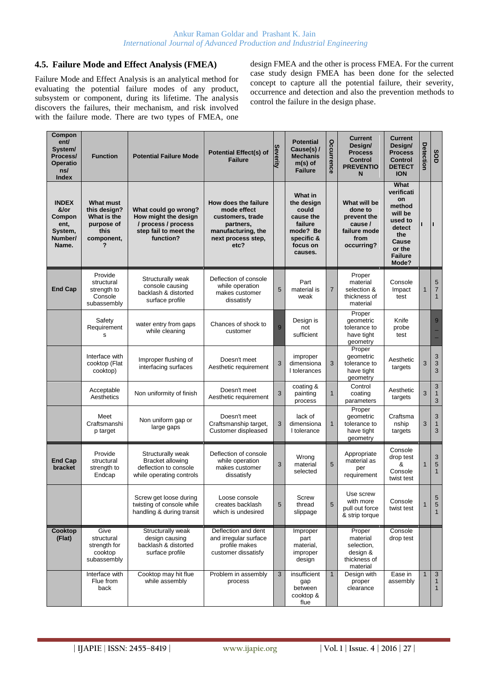#### **4.5. Failure Mode and Effect Analysis (FMEA)**

Failure Mode and Effect Analysis is an analytical method for evaluating the potential failure modes of any product, subsystem or component, during its lifetime. The analysis discovers the failures, their mechanism, and risk involved with the failure mode. There are two types of FMEA, one

design FMEA and the other is process FMEA. For the current case study design FMEA has been done for the selected concept to capture all the potential failure, their severity, occurrence and detection and also the prevention methods to control the failure in the design phase.

| Compon<br>ent/<br>System/<br>Process/<br><b>Operatio</b><br>ns/<br><b>Index</b> | <b>Function</b>                                                                          | <b>Potential Failure Mode</b>                                                                             | <b>Potential Effect(s) of</b><br><b>Failure</b>                                                                          | <b>Severity</b> | <b>Potential</b><br>Cause(s) /<br><b>Mechanis</b><br>$m(s)$ of<br><b>Failure</b>                        | Occurrence     | <b>Current</b><br>Design/<br><b>Process</b><br><b>Control</b><br><b>PREVENTIO</b><br>N  | <b>Current</b><br>Design/<br><b>Process</b><br><b>Control</b><br><b>DETECT</b><br><b>ION</b>                            | Detection   | SOD                                          |
|---------------------------------------------------------------------------------|------------------------------------------------------------------------------------------|-----------------------------------------------------------------------------------------------------------|--------------------------------------------------------------------------------------------------------------------------|-----------------|---------------------------------------------------------------------------------------------------------|----------------|-----------------------------------------------------------------------------------------|-------------------------------------------------------------------------------------------------------------------------|-------------|----------------------------------------------|
| <b>INDEX</b><br>&/or<br>Compon<br>ent,<br>System,<br>Number/<br>Name.           | <b>What must</b><br>this design?<br>What is the<br>purpose of<br>this<br>component,<br>7 | What could go wrong?<br>How might the design<br>/ process / process<br>step fail to meet the<br>function? | How does the failure<br>mode effect<br>customers, trade<br>partners,<br>manufacturing, the<br>next process step,<br>etc? |                 | What in<br>the design<br>could<br>cause the<br>failure<br>mode? Be<br>specific &<br>focus on<br>causes. |                | What will be<br>done to<br>prevent the<br>cause /<br>failure mode<br>from<br>occurring? | What<br>verificati<br>on<br>method<br>will be<br>used to<br>detect<br>the<br>Cause<br>or the<br><b>Failure</b><br>Mode? |             | п                                            |
| <b>End Cap</b>                                                                  | Provide<br>structural<br>strength to<br>Console<br>subassembly                           | Structurally weak<br>console causing<br>backlash & distorted<br>surface profile                           | Deflection of console<br>while operation<br>makes customer<br>dissatisfy                                                 | 5               | Part<br>material is<br>weak                                                                             | $\overline{7}$ | Proper<br>material<br>selection &<br>thickness of<br>material                           | Console<br>Impact<br>test                                                                                               | 1           | 5<br>$\overline{7}$<br>$\mathbf{1}$          |
|                                                                                 | Safety<br>Requirement<br>s                                                               | water entry from gaps<br>while cleaning                                                                   | Chances of shock to<br>customer                                                                                          | 9               | Design is<br>not<br>sufficient                                                                          |                | Proper<br>geometric<br>tolerance to<br>have tight<br>geometry                           | Knife<br>probe<br>test                                                                                                  |             | 9                                            |
|                                                                                 | Interface with<br>cooktop (Flat<br>cooktop)                                              | Improper flushing of<br>interfacing surfaces                                                              | Doesn't meet<br>Aesthetic requirement                                                                                    | 3               | improper<br>dimensiona<br>I tolerances                                                                  | 3              | Proper<br>geometric<br>tolerance to<br>have tight<br>geometry                           | Aesthetic<br>targets                                                                                                    | 3           | 3<br>3<br>3                                  |
|                                                                                 | Acceptable<br>Aesthetics                                                                 | Non uniformity of finish                                                                                  | Doesn't meet<br>Aesthetic requirement                                                                                    | 3               | coating &<br>painting<br>process                                                                        | $\mathbf{1}$   | Control<br>coating<br>parameters                                                        | Aesthetic<br>targets                                                                                                    | 3           | 3<br>$\mathbf{1}$<br>3                       |
|                                                                                 | Meet<br>Craftsmanshi<br>p target                                                         | Non uniform gap or<br>large gaps                                                                          | Doesn't meet<br>Craftsmanship target,<br>Customer displeased                                                             | 3               | lack of<br>dimensiona<br>I tolerance                                                                    | $\mathbf{1}$   | Proper<br>geometric<br>tolerance to<br>have tight<br>geometry                           | Craftsma<br>nship<br>targets                                                                                            | 3           | 3<br>$\mathbf{1}$<br>3                       |
| <b>End Cap</b><br>bracket                                                       | Provide<br>structural<br>strength to<br>Endcap                                           | Structurally weak<br><b>Bracket allowing</b><br>deflection to console<br>while operating controls         | Deflection of console<br>while operation<br>makes customer<br>dissatisfy                                                 | 3               | Wrong<br>material<br>selected                                                                           | 5              | Appropriate<br>material as<br>per<br>requirement                                        | Console<br>drop test<br>&<br>Console<br>twist test                                                                      | 1           | 3<br>5<br>$\mathbf{1}$                       |
|                                                                                 |                                                                                          | Screw get loose during<br>twisting of console while<br>handling & during transit                          | Loose console<br>creates backlash<br>which is undesired                                                                  | 5               | Screw<br>thread<br>slippage                                                                             | 5              | Use screw<br>with more<br>pull out force<br>& strip torque                              | Console<br>twist test                                                                                                   | 1           | $5\overline{)}$<br>5<br>$\mathbf{1}$         |
| Cooktop<br>(Flat)                                                               | Give<br>structural<br>strength for<br>cooktop<br>subassembly                             | Structurally weak<br>design causing<br>backlash & distorted<br>surface profile                            | Deflection and dent<br>and irregular surface<br>profile makes<br>customer dissatisfy                                     |                 | Improper<br>part<br>material,<br>improper<br>design                                                     |                | Proper<br>material<br>selection,<br>design &<br>thickness of<br>material                | Console<br>drop test                                                                                                    |             |                                              |
|                                                                                 | Interface with<br>Flue from<br>back                                                      | Cooktop may hit flue<br>while assembly                                                                    | Problem in assembly<br>process                                                                                           | 3               | insufficient<br>gap<br>between<br>cooktop &<br>flue                                                     | $\mathbf{1}$   | Design with<br>proper<br>clearance                                                      | Ease in<br>assembly                                                                                                     | $\mathbf 1$ | $\mathbf{3}$<br>$\mathbf{1}$<br>$\mathbf{1}$ |